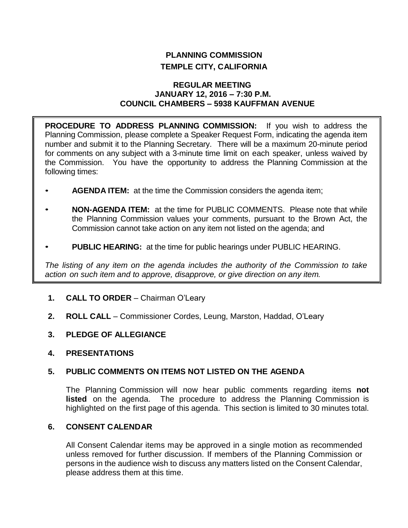# **PLANNING COMMISSION TEMPLE CITY, CALIFORNIA**

#### **REGULAR MEETING JANUARY 12, 2016 – 7:30 P.M. COUNCIL CHAMBERS – 5938 KAUFFMAN AVENUE**

**PROCEDURE TO ADDRESS PLANNING COMMISSION:** If you wish to address the Planning Commission, please complete a Speaker Request Form, indicating the agenda item number and submit it to the Planning Secretary. There will be a maximum 20-minute period for comments on any subject with a 3-minute time limit on each speaker, unless waived by the Commission. You have the opportunity to address the Planning Commission at the following times:

- **AGENDA ITEM:** at the time the Commission considers the agenda item;
- **NON-AGENDA ITEM:** at the time for PUBLIC COMMENTS. Please note that while the Planning Commission values your comments, pursuant to the Brown Act, the Commission cannot take action on any item not listed on the agenda; and
- **PUBLIC HEARING:** at the time for public hearings under PUBLIC HEARING.

*The listing of any item on the agenda includes the authority of the Commission to take action on such item and to approve, disapprove, or give direction on any item.*

- **1. CALL TO ORDER** Chairman O'Leary
- **2. ROLL CALL** Commissioner Cordes, Leung, Marston, Haddad, O'Leary
- **3. PLEDGE OF ALLEGIANCE**
- **4. PRESENTATIONS**

# **5. PUBLIC COMMENTS ON ITEMS NOT LISTED ON THE AGENDA**

The Planning Commission will now hear public comments regarding items **not listed** on the agenda. The procedure to address the Planning Commission is highlighted on the first page of this agenda. This section is limited to 30 minutes total.

# **6. CONSENT CALENDAR**

All Consent Calendar items may be approved in a single motion as recommended unless removed for further discussion. If members of the Planning Commission or persons in the audience wish to discuss any matters listed on the Consent Calendar, please address them at this time.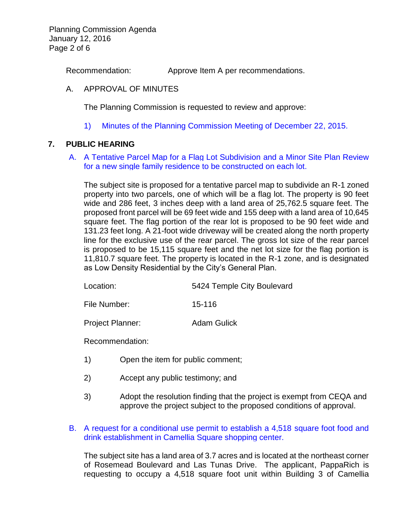Planning Commission Agenda January 12, 2016 Page 2 of 6

Recommendation: Approve Item A per recommendations.

#### A. APPROVAL OF MINUTES

The Planning Commission is requested to review and approve:

1) Minutes of the [Planning Commission Meeting](http://ca-templecity.civicplus.com/DocumentCenter/View/5165) of December 22, 2015.

#### **7. PUBLIC HEARING**

#### A. [A Tentative Parcel Map for a Flag Lot Subdivision](http://ca-templecity.civicplus.com/DocumentCenter/View/5166) and a Minor Site Plan Review [for a new single family residence to be constructed on each lot.](http://ca-templecity.civicplus.com/DocumentCenter/View/5166)

The subject site is proposed for a tentative parcel map to subdivide an R-1 zoned property into two parcels, one of which will be a flag lot. The property is 90 feet wide and 286 feet, 3 inches deep with a land area of 25,762.5 square feet. The proposed front parcel will be 69 feet wide and 155 deep with a land area of 10,645 square feet. The flag portion of the rear lot is proposed to be 90 feet wide and 131.23 feet long. A 21-foot wide driveway will be created along the north property line for the exclusive use of the rear parcel. The gross lot size of the rear parcel is proposed to be 15,115 square feet and the net lot size for the flag portion is 11,810.7 square feet. The property is located in the R-1 zone, and is designated as Low Density Residential by the City's General Plan.

File Number: 15-116

Project Planner: Adam Gulick

Recommendation:

- 1) Open the item for public comment;
- 2) Accept any public testimony; and
- 3) Adopt the resolution finding that the project is exempt from CEQA and approve the project subject to the proposed conditions of approval.
- B. [A request for a conditional use permit to establish a 4,518 square foot food and](http://ca-templecity.civicplus.com/DocumentCenter/View/5167)  [drink establishment in Camellia Square shopping center.](http://ca-templecity.civicplus.com/DocumentCenter/View/5167)

The subject site has a land area of 3.7 acres and is located at the northeast corner of Rosemead Boulevard and Las Tunas Drive. The applicant, PappaRich is requesting to occupy a 4,518 square foot unit within Building 3 of Camellia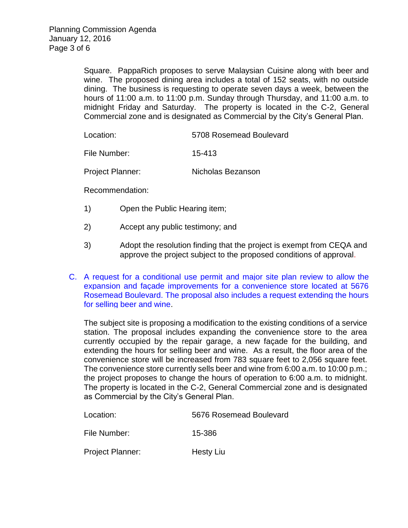Square. PappaRich proposes to serve Malaysian Cuisine along with beer and wine. The proposed dining area includes a total of 152 seats, with no outside dining. The business is requesting to operate seven days a week, between the hours of 11:00 a.m. to 11:00 p.m. Sunday through Thursday, and 11:00 a.m. to midnight Friday and Saturday. The property is located in the C-2, General Commercial zone and is designated as Commercial by the City's General Plan.

Location: 5708 Rosemead Boulevard

File Number: 15-413

Project Planner: Nicholas Bezanson

Recommendation:

- 1) Open the Public Hearing item;
- 2) Accept any public testimony; and
- 3) Adopt the resolution finding that the project is exempt from CEQA and approve the project subject to the proposed conditions of approval.
- C. [A request for a conditional use permit and major site plan review to allow the](http://ca-templecity.civicplus.com/DocumentCenter/View/5168)  [expansion and façade improvements for a convenience store located at 5676](http://ca-templecity.civicplus.com/DocumentCenter/View/5168)  [Rosemead Boulevard. The proposal also includes a request extending the hours](http://ca-templecity.civicplus.com/DocumentCenter/View/5168)  [for selling beer and wine.](http://ca-templecity.civicplus.com/DocumentCenter/View/5168)

The subject site is proposing a modification to the existing conditions of a service station. The proposal includes expanding the convenience store to the area currently occupied by the repair garage, a new façade for the building, and extending the hours for selling beer and wine. As a result, the floor area of the convenience store will be increased from 783 square feet to 2,056 square feet. The convenience store currently sells beer and wine from 6:00 a.m. to 10:00 p.m.; the project proposes to change the hours of operation to 6:00 a.m. to midnight. The property is located in the C-2, General Commercial zone and is designated as Commercial by the City's General Plan.

| Location:               | 5676 Rosemead Boulevard |
|-------------------------|-------------------------|
| File Number:            | 15-386                  |
| <b>Project Planner:</b> | Hesty Liu               |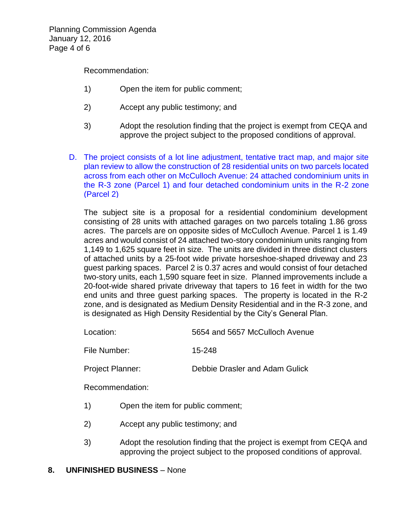Recommendation:

- 1) Open the item for public comment;
- 2) Accept any public testimony; and
- 3) Adopt the resolution finding that the project is exempt from CEQA and approve the project subject to the proposed conditions of approval.
- D. [The project consists of a lot line adjustment, tentative tract map, and major site](http://ca-templecity.civicplus.com/DocumentCenter/View/5169)  [plan review to allow the construction of 28 residential units on two parcels located](http://ca-templecity.civicplus.com/DocumentCenter/View/5169)  [across from each other on McCulloch Avenue: 24 attached condominium units in](http://ca-templecity.civicplus.com/DocumentCenter/View/5169)  [the R-3 zone \(Parcel 1\) and four detached condominium units in the R-2 zone](http://ca-templecity.civicplus.com/DocumentCenter/View/5169)  [\(Parcel 2\)](http://ca-templecity.civicplus.com/DocumentCenter/View/5169)

The subject site is a proposal for a residential condominium development consisting of 28 units with attached garages on two parcels totaling 1.86 gross acres. The parcels are on opposite sides of McCulloch Avenue. Parcel 1 is 1.49 acres and would consist of 24 attached two-story condominium units ranging from 1,149 to 1,625 square feet in size. The units are divided in three distinct clusters of attached units by a 25-foot wide private horseshoe-shaped driveway and 23 guest parking spaces. Parcel 2 is 0.37 acres and would consist of four detached two-story units, each 1,590 square feet in size. Planned improvements include a 20-foot-wide shared private driveway that tapers to 16 feet in width for the two end units and three guest parking spaces. The property is located in the R-2 zone, and is designated as Medium Density Residential and in the R-3 zone, and is designated as High Density Residential by the City's General Plan.

Location: 5654 and 5657 McCulloch Avenue

File Number: 15-248

Project Planner: Debbie Drasler and Adam Gulick

Recommendation:

- 1) Open the item for public comment;
- 2) Accept any public testimony; and
- 3) Adopt the resolution finding that the project is exempt from CEQA and approving the project subject to the proposed conditions of approval.

# **8. UNFINISHED BUSINESS** – None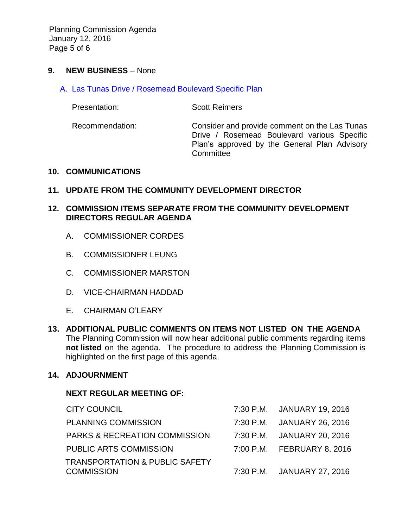Planning Commission Agenda January 12, 2016 Page 5 of 6

#### **9. NEW BUSINESS** – None

A. [Las Tunas Drive / Rosemead Boulevard Specific Plan](http://ca-templecity.civicplus.com/DocumentCenter/View/5170)

Presentation: Scott Reimers

Recommendation: Consider and provide comment on the Las Tunas Drive / Rosemead Boulevard various Specific Plan's approved by the General Plan Advisory **Committee** 

#### **10. COMMUNICATIONS**

# **11. UPDATE FROM THE COMMUNITY DEVELOPMENT DIRECTOR**

# **12. COMMISSION ITEMS SEPARATE FROM THE COMMUNITY DEVELOPMENT DIRECTORS REGULAR AGENDA**

- A. COMMISSIONER CORDES
- B. COMMISSIONER LEUNG
- C. COMMISSIONER MARSTON
- D. VICE-CHAIRMAN HADDAD
- E. CHAIRMAN O'LEARY
- **13. ADDITIONAL PUBLIC COMMENTS ON ITEMS NOT LISTED ON THE AGENDA** The Planning Commission will now hear additional public comments regarding items **not listed** on the agenda. The procedure to address the Planning Commission is highlighted on the first page of this agenda.

# **14. ADJOURNMENT**

# **NEXT REGULAR MEETING OF:**

| <b>CITY COUNCIL</b>                                            | 7:30 P.M. JANUARY 19, 2016 |
|----------------------------------------------------------------|----------------------------|
| <b>PLANNING COMMISSION</b>                                     | 7:30 P.M. JANUARY 26, 2016 |
| <b>PARKS &amp; RECREATION COMMISSION</b>                       | 7:30 P.M. JANUARY 20, 2016 |
| PUBLIC ARTS COMMISSION                                         | 7:00 P.M. FEBRUARY 8, 2016 |
| <b>TRANSPORTATION &amp; PUBLIC SAFETY</b><br><b>COMMISSION</b> | 7:30 P.M. JANUARY 27, 2016 |